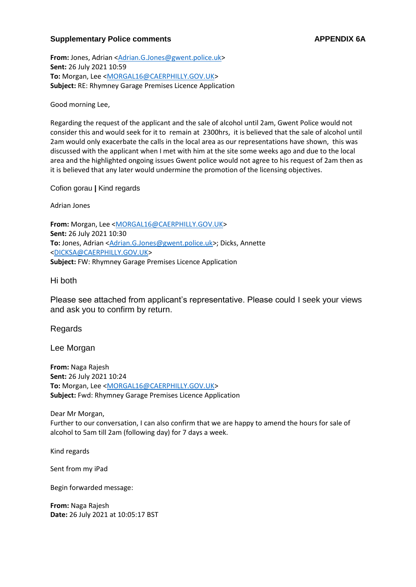## **Supplementary Police comments <b>APPENDIX 6A**

**From:** Jones, Adrian [<Adrian.G.Jones@gwent.police.uk>](mailto:Adrian.G.Jones@gwent.police.uk) **Sent:** 26 July 2021 10:59 **To:** Morgan, Lee [<MORGAL16@CAERPHILLY.GOV.UK>](mailto:MORGAL16@CAERPHILLY.GOV.UK) **Subject:** RE: Rhymney Garage Premises Licence Application

Good morning Lee,

Regarding the request of the applicant and the sale of alcohol until 2am, Gwent Police would not consider this and would seek for it to remain at 2300hrs, it is believed that the sale of alcohol until 2am would only exacerbate the calls in the local area as our representations have shown, this was discussed with the applicant when I met with him at the site some weeks ago and due to the local area and the highlighted ongoing issues Gwent police would not agree to his request of 2am then as it is believed that any later would undermine the promotion of the licensing objectives.

Cofion gorau **|** Kind regards

Adrian Jones

**From:** Morgan, Lee [<MORGAL16@CAERPHILLY.GOV.UK>](mailto:MORGAL16@CAERPHILLY.GOV.UK) **Sent:** 26 July 2021 10:30 To: Jones, Adrian [<Adrian.G.Jones@gwent.police.uk>](mailto:Adrian.G.Jones@gwent.police.uk); Dicks, Annette [<DICKSA@CAERPHILLY.GOV.UK>](mailto:DICKSA@CAERPHILLY.GOV.UK) **Subject:** FW: Rhymney Garage Premises Licence Application

Hi both

Please see attached from applicant's representative. Please could I seek your views and ask you to confirm by return.

Regards

Lee Morgan

**From:** Naga Rajesh **Sent:** 26 July 2021 10:24 **To:** Morgan, Lee [<MORGAL16@CAERPHILLY.GOV.UK>](mailto:MORGAL16@CAERPHILLY.GOV.UK) **Subject:** Fwd: Rhymney Garage Premises Licence Application

Dear Mr Morgan, Further to our conversation, I can also confirm that we are happy to amend the hours for sale of alcohol to 5am till 2am (following day) for 7 days a week.

Kind regards

Sent from my iPad

Begin forwarded message:

**From:** Naga Rajesh **Date:** 26 July 2021 at 10:05:17 BST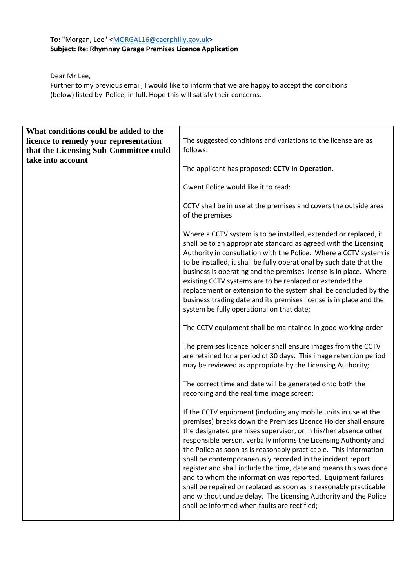## To: "Morgan, Lee" [<MORGAL16@caerphilly.gov.uk>](mailto:MORGAL16@caerphilly.gov.uk) **Subject: Re: Rhymney Garage Premises Licence Application**

Dear Mr Lee,

Further to my previous email, I would like to inform that we are happy to accept the conditions (below) listed by Police, in full. Hope this will satisfy their concerns.

| What conditions could be added to the  |                                                                                                                                                                                                                                                                                                                                                                                                                                                                                                                                                                                                                                                                                                                                           |
|----------------------------------------|-------------------------------------------------------------------------------------------------------------------------------------------------------------------------------------------------------------------------------------------------------------------------------------------------------------------------------------------------------------------------------------------------------------------------------------------------------------------------------------------------------------------------------------------------------------------------------------------------------------------------------------------------------------------------------------------------------------------------------------------|
| licence to remedy your representation  | The suggested conditions and variations to the license are as                                                                                                                                                                                                                                                                                                                                                                                                                                                                                                                                                                                                                                                                             |
| that the Licensing Sub-Committee could | follows:                                                                                                                                                                                                                                                                                                                                                                                                                                                                                                                                                                                                                                                                                                                                  |
| take into account                      | The applicant has proposed: CCTV in Operation.                                                                                                                                                                                                                                                                                                                                                                                                                                                                                                                                                                                                                                                                                            |
|                                        | Gwent Police would like it to read:                                                                                                                                                                                                                                                                                                                                                                                                                                                                                                                                                                                                                                                                                                       |
|                                        | CCTV shall be in use at the premises and covers the outside area<br>of the premises                                                                                                                                                                                                                                                                                                                                                                                                                                                                                                                                                                                                                                                       |
|                                        | Where a CCTV system is to be installed, extended or replaced, it<br>shall be to an appropriate standard as agreed with the Licensing<br>Authority in consultation with the Police. Where a CCTV system is<br>to be installed, it shall be fully operational by such date that the<br>business is operating and the premises license is in place. Where<br>existing CCTV systems are to be replaced or extended the<br>replacement or extension to the system shall be concluded by the<br>business trading date and its premises license is in place and the<br>system be fully operational on that date;                                                                                                                                 |
|                                        | The CCTV equipment shall be maintained in good working order                                                                                                                                                                                                                                                                                                                                                                                                                                                                                                                                                                                                                                                                              |
|                                        | The premises licence holder shall ensure images from the CCTV<br>are retained for a period of 30 days. This image retention period<br>may be reviewed as appropriate by the Licensing Authority;                                                                                                                                                                                                                                                                                                                                                                                                                                                                                                                                          |
|                                        | The correct time and date will be generated onto both the<br>recording and the real time image screen;                                                                                                                                                                                                                                                                                                                                                                                                                                                                                                                                                                                                                                    |
|                                        | If the CCTV equipment (including any mobile units in use at the<br>premises) breaks down the Premises Licence Holder shall ensure<br>the designated premises supervisor, or in his/her absence other<br>responsible person, verbally informs the Licensing Authority and<br>the Police as soon as is reasonably practicable. This information<br>shall be contemporaneously recorded in the incident report<br>register and shall include the time, date and means this was done<br>and to whom the information was reported. Equipment failures<br>shall be repaired or replaced as soon as is reasonably practicable<br>and without undue delay. The Licensing Authority and the Police<br>shall be informed when faults are rectified; |